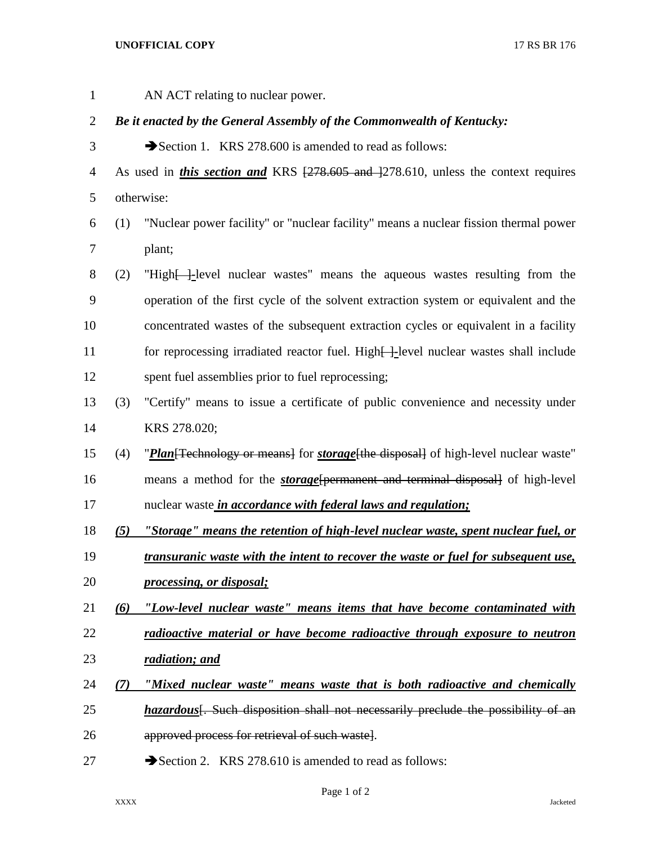## **UNOFFICIAL COPY** 17 RS BR 176

 AN ACT relating to nuclear power. *Be it enacted by the General Assembly of the Commonwealth of Kentucky:* 3 Section 1. KRS 278.600 is amended to read as follows: 4 As used in *this section and* KRS  $\left[\frac{278.605 \text{ and } 278.610}{278.610}\right]$  unless the context requires otherwise: (1) "Nuclear power facility" or "nuclear facility" means a nuclear fission thermal power plant; (2) "High[ ]*-*level nuclear wastes" means the aqueous wastes resulting from the operation of the first cycle of the solvent extraction system or equivalent and the concentrated wastes of the subsequent extraction cycles or equivalent in a facility 11 for reprocessing irradiated reactor fuel. High-level nuclear wastes shall include spent fuel assemblies prior to fuel reprocessing; (3) "Certify" means to issue a certificate of public convenience and necessity under KRS 278.020; (4) "*Plan*[Technology or means] for *storage*[the disposal] of high-level nuclear waste" means a method for the *storage*[permanent and terminal disposal] of high-level nuclear waste *in accordance with federal laws and regulation; (5) "Storage" means the retention of high-level nuclear waste, spent nuclear fuel, or transuranic waste with the intent to recover the waste or fuel for subsequent use, processing, or disposal; (6) "Low-level nuclear waste" means items that have become contaminated with radioactive material or have become radioactive through exposure to neutron radiation; and (7) "Mixed nuclear waste" means waste that is both radioactive and chemically hazardous*<sup>[</sup>. Such disposition shall not necessarily preclude the possibility of an approved process for retrieval of such waste]. 27 Section 2. KRS 278.610 is amended to read as follows:

Page 1 of 2